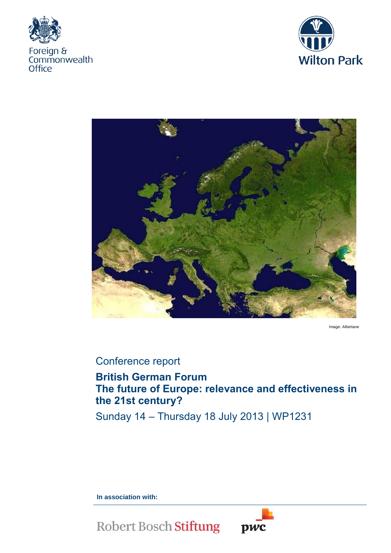





Image: Albertane

# Conference report

# **British German Forum The future of Europe: relevance and effectiveness in the 21st century?**

Sunday 14 – Thursday 18 July 2013 | WP1231

**In association with:** 



**Robert Bosch Stiftung**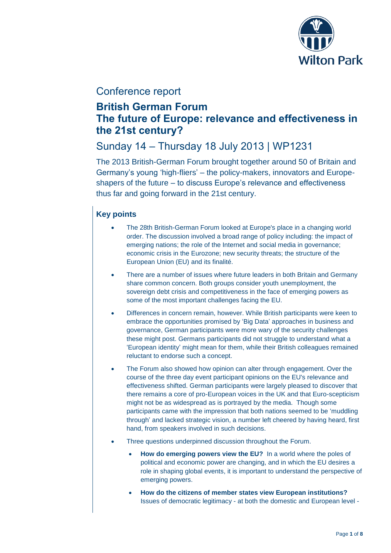

# Conference report

# **British German Forum The future of Europe: relevance and effectiveness in the 21st century?**

# Sunday 14 – Thursday 18 July 2013 | WP1231

The 2013 British-German Forum brought together around 50 of Britain and Germany's young 'high-fliers' – the policy-makers, innovators and Europeshapers of the future – to discuss Europe's relevance and effectiveness thus far and going forward in the 21st century.

## **Key points**

- The 28th British-German Forum looked at Europe's place in a changing world order. The discussion involved a broad range of policy including: the impact of emerging nations; the role of the Internet and social media in governance; economic crisis in the Eurozone; new security threats; the structure of the European Union (EU) and its finalité.
- There are a number of issues where future leaders in both Britain and Germany share common concern. Both groups consider youth unemployment, the sovereign debt crisis and competitiveness in the face of emerging powers as some of the most important challenges facing the EU.
- Differences in concern remain, however. While British participants were keen to embrace the opportunities promised by 'Big Data' approaches in business and governance, German participants were more wary of the security challenges these might post. Germans participants did not struggle to understand what a 'European identity' might mean for them, while their British colleagues remained reluctant to endorse such a concept.
- The Forum also showed how opinion can alter through engagement. Over the course of the three day event participant opinions on the EU's relevance and effectiveness shifted. German participants were largely pleased to discover that there remains a core of pro-European voices in the UK and that Euro-scepticism might not be as widespread as is portrayed by the media. Though some participants came with the impression that both nations seemed to be 'muddling through' and lacked strategic vision, a number left cheered by having heard, first hand, from speakers involved in such decisions.
- Three questions underpinned discussion throughout the Forum.
	- **How do emerging powers view the EU?** In a world where the poles of political and economic power are changing, and in which the EU desires a role in shaping global events, it is important to understand the perspective of emerging powers.
	- **How do the citizens of member states view European institutions?** Issues of democratic legitimacy - at both the domestic and European level -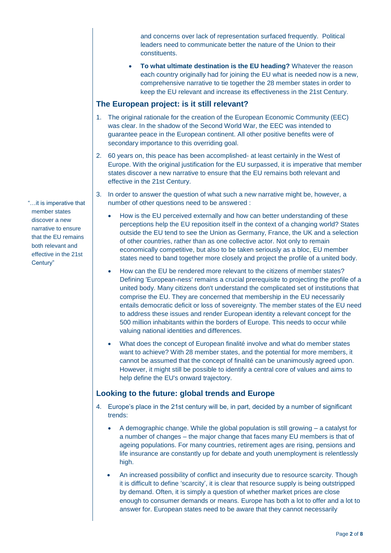and concerns over lack of representation surfaced frequently. Political leaders need to communicate better the nature of the Union to their constituents.

 **To what ultimate destination is the EU heading?** Whatever the reason each country originally had for joining the EU what is needed now is a new, comprehensive narrative to tie together the 28 member states in order to keep the EU relevant and increase its effectiveness in the 21st Century.

### **The European project: is it still relevant?**

- 1. The original rationale for the creation of the European Economic Community (EEC) was clear. In the shadow of the Second World War, the EEC was intended to guarantee peace in the European continent. All other positive benefits were of secondary importance to this overriding goal.
- 2. 60 years on, this peace has been accomplished- at least certainly in the West of Europe. With the original justification for the EU surpassed, it is imperative that member states discover a new narrative to ensure that the EU remains both relevant and effective in the 21st Century.
- 3. In order to answer the question of what such a new narrative might be, however, a number of other questions need to be answered :
	- How is the EU perceived externally and how can better understanding of these perceptions help the EU reposition itself in the context of a changing world? States outside the EU tend to see the Union as Germany, France, the UK and a selection of other countries, rather than as one collective actor. Not only to remain economically competitive, but also to be taken seriously as a bloc, EU member states need to band together more closely and project the profile of a united body.
	- How can the EU be rendered more relevant to the citizens of member states? Defining 'European-ness' remains a crucial prerequisite to projecting the profile of a united body. Many citizens don't understand the complicated set of institutions that comprise the EU. They are concerned that membership in the EU necessarily entails democratic deficit or loss of sovereignty. The member states of the EU need to address these issues and render European identity a relevant concept for the 500 million inhabitants within the borders of Europe. This needs to occur while valuing national identities and differences.
	- What does the concept of European finalité involve and what do member states want to achieve? With 28 member states, and the potential for more members, it cannot be assumed that the concept of finalité can be unanimously agreed upon. However, it might still be possible to identify a central core of values and aims to help define the EU's onward trajectory.

## **Looking to the future: global trends and Europe**

- 4. Europe's place in the 21st century will be, in part, decided by a number of significant trends:
	- A demographic change. While the global population is still growing a catalyst for a number of changes – the major change that faces many EU members is that of ageing populations. For many countries, retirement ages are rising, pensions and life insurance are constantly up for debate and youth unemployment is relentlessly high.
	- An increased possibility of conflict and insecurity due to resource scarcity. Though it is difficult to define 'scarcity', it is clear that resource supply is being outstripped by demand. Often, it is simply a question of whether market prices are close enough to consumer demands or means. Europe has both a lot to offer and a lot to answer for. European states need to be aware that they cannot necessarily

"…it is imperative that member states discover a new narrative to ensure that the EU remains both relevant and effective in the 21st Century"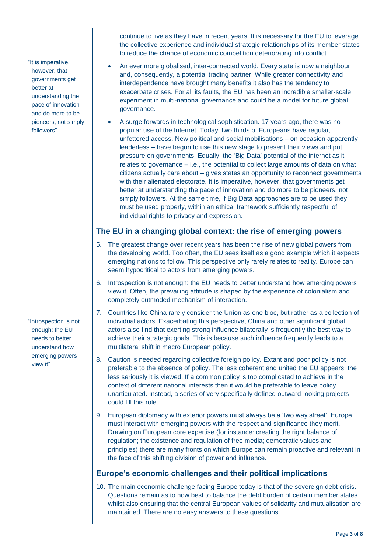"It is imperative, however, that governments get better at understanding the pace of innovation and do more to be pioneers, not simply followers"

"Introspection is not enough: the EU needs to better understand how emerging powers view it"

continue to live as they have in recent years. It is necessary for the EU to leverage the collective experience and individual strategic relationships of its member states to reduce the chance of economic competition deteriorating into conflict.

- An ever more globalised, inter-connected world. Every state is now a neighbour and, consequently, a potential trading partner. While greater connectivity and interdependence have brought many benefits it also has the tendency to exacerbate crises. For all its faults, the EU has been an incredible smaller-scale experiment in multi-national governance and could be a model for future global governance.
- A surge forwards in technological sophistication. 17 years ago, there was no popular use of the Internet. Today, two thirds of Europeans have regular, unfettered access. New political and social mobilisations – on occasion apparently leaderless – have begun to use this new stage to present their views and put pressure on governments. Equally, the 'Big Data' potential of the internet as it relates to governance – i.e., the potential to collect large amounts of data on what citizens actually care about – gives states an opportunity to reconnect governments with their alienated electorate. It is imperative, however, that governments get better at understanding the pace of innovation and do more to be pioneers, not simply followers. At the same time, if Big Data approaches are to be used they must be used properly, within an ethical framework sufficiently respectful of individual rights to privacy and expression.

### **The EU in a changing global context: the rise of emerging powers**

- 5. The greatest change over recent years has been the rise of new global powers from the developing world. Too often, the EU sees itself as a good example which it expects emerging nations to follow. This perspective only rarely relates to reality. Europe can seem hypocritical to actors from emerging powers.
- 6. Introspection is not enough: the EU needs to better understand how emerging powers view it. Often, the prevailing attitude is shaped by the experience of colonialism and completely outmoded mechanism of interaction.
- 7. Countries like China rarely consider the Union as one bloc, but rather as a collection of individual actors. Exacerbating this perspective, China and other significant global actors also find that exerting strong influence bilaterally is frequently the best way to achieve their strategic goals. This is because such influence frequently leads to a multilateral shift in macro European policy.
- 8. Caution is needed regarding collective foreign policy. Extant and poor policy is not preferable to the absence of policy. The less coherent and united the EU appears, the less seriously it is viewed. If a common policy is too complicated to achieve in the context of different national interests then it would be preferable to leave policy unarticulated. Instead, a series of very specifically defined outward-looking projects could fill this role.
- 9. European diplomacy with exterior powers must always be a 'two way street'. Europe must interact with emerging powers with the respect and significance they merit. Drawing on European core expertise (for instance: creating the right balance of regulation; the existence and regulation of free media; democratic values and principles) there are many fronts on which Europe can remain proactive and relevant in the face of this shifting division of power and influence.

#### **Europe's economic challenges and their political implications**

10. The main economic challenge facing Europe today is that of the sovereign debt crisis. Questions remain as to how best to balance the debt burden of certain member states whilst also ensuring that the central European values of solidarity and mutualisation are maintained. There are no easy answers to these questions.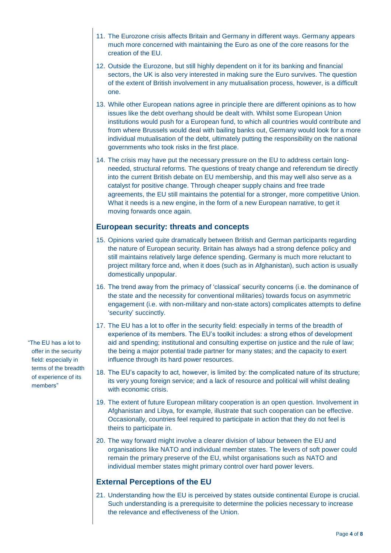- 11. The Eurozone crisis affects Britain and Germany in different ways. Germany appears much more concerned with maintaining the Euro as one of the core reasons for the creation of the EU.
- 12. Outside the Eurozone, but still highly dependent on it for its banking and financial sectors, the UK is also very interested in making sure the Euro survives. The question of the extent of British involvement in any mutualisation process, however, is a difficult one.
- 13. While other European nations agree in principle there are different opinions as to how issues like the debt overhang should be dealt with. Whilst some European Union institutions would push for a European fund, to which all countries would contribute and from where Brussels would deal with bailing banks out, Germany would look for a more individual mutualisation of the debt, ultimately putting the responsibility on the national governments who took risks in the first place.
- 14. The crisis may have put the necessary pressure on the EU to address certain longneeded, structural reforms. The questions of treaty change and referendum tie directly into the current British debate on EU membership, and this may well also serve as a catalyst for positive change. Through cheaper supply chains and free trade agreements, the EU still maintains the potential for a stronger, more competitive Union. What it needs is a new engine, in the form of a new European narrative, to get it moving forwards once again.

### **European security: threats and concepts**

- 15. Opinions varied quite dramatically between British and German participants regarding the nature of European security. Britain has always had a strong defence policy and still maintains relatively large defence spending. Germany is much more reluctant to project military force and, when it does (such as in Afghanistan), such action is usually domestically unpopular.
- 16. The trend away from the primacy of 'classical' security concerns (i.e. the dominance of the state and the necessity for conventional militaries) towards focus on asymmetric engagement (i.e. with non-military and non-state actors) complicates attempts to define 'security' succinctly.
- 17. The EU has a lot to offer in the security field: especially in terms of the breadth of experience of its members. The EU's toolkit includes: a strong ethos of development aid and spending; institutional and consulting expertise on justice and the rule of law; the being a major potential trade partner for many states; and the capacity to exert influence through its hard power resources.
- 18. The EU's capacity to act, however, is limited by: the complicated nature of its structure; its very young foreign service; and a lack of resource and political will whilst dealing with economic crisis.
- 19. The extent of future European military cooperation is an open question. Involvement in Afghanistan and Libya, for example, illustrate that such cooperation can be effective. Occasionally, countries feel required to participate in action that they do not feel is theirs to participate in.
- 20. The way forward might involve a clearer division of labour between the EU and organisations like NATO and individual member states. The levers of soft power could remain the primary preserve of the EU, whilst organisations such as NATO and individual member states might primary control over hard power levers.

## **External Perceptions of the EU**

21. Understanding how the EU is perceived by states outside continental Europe is crucial. Such understanding is a prerequisite to determine the policies necessary to increase the relevance and effectiveness of the Union.

"The EU has a lot to offer in the security field: especially in terms of the breadth of experience of its members"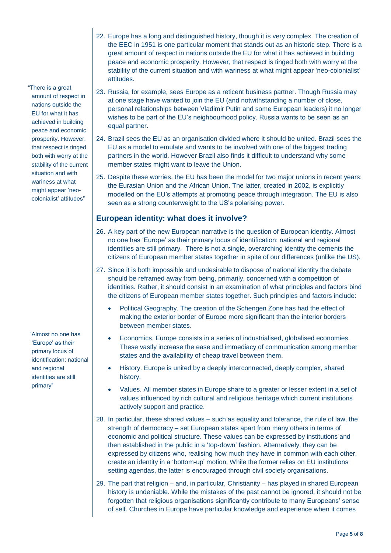- 22. Europe has a long and distinguished history, though it is very complex. The creation of the EEC in 1951 is one particular moment that stands out as an historic step. There is a great amount of respect in nations outside the EU for what it has achieved in building peace and economic prosperity. However, that respect is tinged both with worry at the stability of the current situation and with wariness at what might appear 'neo-colonialist' attitudes.
- "There is a great amount of respect in nations outside the EU for what it has achieved in building peace and economic prosperity. However, that respect is tinged both with worry at the stability of the current situation and with wariness at what might appear 'neocolonialist' attitudes"

"Almost no one has 'Europe' as their primary locus of identification: national and regional identities are still primary"

- 23. Russia, for example, sees Europe as a reticent business partner. Though Russia may at one stage have wanted to join the EU (and notwithstanding a number of close, personal relationships between Vladimir Putin and some European leaders) it no longer wishes to be part of the EU's neighbourhood policy. Russia wants to be seen as an equal partner.
- 24. Brazil sees the EU as an organisation divided where it should be united. Brazil sees the EU as a model to emulate and wants to be involved with one of the biggest trading partners in the world. However Brazil also finds it difficult to understand why some member states might want to leave the Union.
- 25. Despite these worries, the EU has been the model for two major unions in recent years: the Eurasian Union and the African Union. The latter, created in 2002, is explicitly modelled on the EU's attempts at promoting peace through integration. The EU is also seen as a strong counterweight to the US's polarising power.

### **European identity: what does it involve?**

- 26. A key part of the new European narrative is the question of European identity. Almost no one has 'Europe' as their primary locus of identification: national and regional identities are still primary. There is not a single, overarching identity the cements the citizens of European member states together in spite of our differences (unlike the US).
- 27. Since it is both impossible and undesirable to dispose of national identity the debate should be reframed away from being, primarily, concerned with a competition of identities. Rather, it should consist in an examination of what principles and factors bind the citizens of European member states together. Such principles and factors include:
	- Political Geography. The creation of the Schengen Zone has had the effect of making the exterior border of Europe more significant than the interior borders between member states.
	- Economics. Europe consists in a series of industrialised, globalised economies. These vastly increase the ease and immediacy of communication among member states and the availability of cheap travel between them.
	- History. Europe is united by a deeply interconnected, deeply complex, shared history.
	- Values. All member states in Europe share to a greater or lesser extent in a set of values influenced by rich cultural and religious heritage which current institutions actively support and practice.
- 28. In particular, these shared values such as equality and tolerance, the rule of law, the strength of democracy – set European states apart from many others in terms of economic and political structure. These values can be expressed by institutions and then established in the public in a 'top-down' fashion. Alternatively, they can be expressed by citizens who, realising how much they have in common with each other, create an identity in a 'bottom-up' motion. While the former relies on EU institutions setting agendas, the latter is encouraged through civil society organisations.
- 29. The part that religion and, in particular, Christianity has played in shared European history is undeniable. While the mistakes of the past cannot be ignored, it should not be forgotten that religious organisations significantly contribute to many Europeans' sense of self. Churches in Europe have particular knowledge and experience when it comes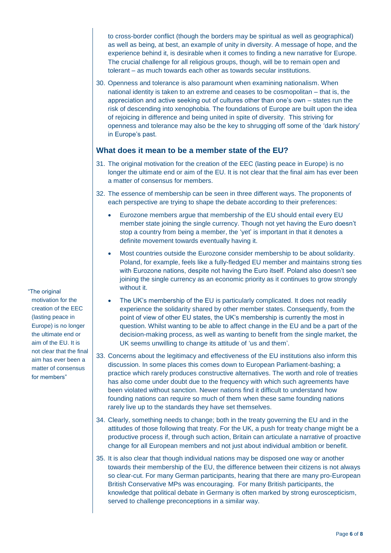to cross-border conflict (though the borders may be spiritual as well as geographical) as well as being, at best, an example of unity in diversity. A message of hope, and the experience behind it, is desirable when it comes to finding a new narrative for Europe. The crucial challenge for all religious groups, though, will be to remain open and tolerant – as much towards each other as towards secular institutions.

30. Openness and tolerance is also paramount when examining nationalism. When national identity is taken to an extreme and ceases to be cosmopolitan – that is, the appreciation and active seeking out of cultures other than one's own – states run the risk of descending into xenophobia. The foundations of Europe are built upon the idea of rejoicing in difference and being united in spite of diversity. This striving for openness and tolerance may also be the key to shrugging off some of the 'dark history' in Europe's past.

#### **What does it mean to be a member state of the EU?**

- 31. The original motivation for the creation of the EEC (lasting peace in Europe) is no longer the ultimate end or aim of the EU. It is not clear that the final aim has ever been a matter of consensus for members.
- 32. The essence of membership can be seen in three different ways. The proponents of each perspective are trying to shape the debate according to their preferences:
	- Eurozone members argue that membership of the EU should entail every EU member state joining the single currency. Though not yet having the Euro doesn't stop a country from being a member, the 'yet' is important in that it denotes a definite movement towards eventually having it.
	- Most countries outside the Eurozone consider membership to be about solidarity. Poland, for example, feels like a fully-fledged EU member and maintains strong ties with Eurozone nations, despite not having the Euro itself. Poland also doesn't see joining the single currency as an economic priority as it continues to grow strongly without it.
	- The UK's membership of the EU is particularly complicated. It does not readily experience the solidarity shared by other member states. Consequently, from the point of view of other EU states, the UK's membership is currently the most in question. Whilst wanting to be able to affect change in the EU and be a part of the decision-making process, as well as wanting to benefit from the single market, the UK seems unwilling to change its attitude of 'us and them'.
- 33. Concerns about the legitimacy and effectiveness of the EU institutions also inform this discussion. In some places this comes down to European Parliament-bashing; a practice which rarely produces constructive alternatives. The worth and role of treaties has also come under doubt due to the frequency with which such agreements have been violated without sanction. Newer nations find it difficult to understand how founding nations can require so much of them when these same founding nations rarely live up to the standards they have set themselves.
- 34. Clearly, something needs to change; both in the treaty governing the EU and in the attitudes of those following that treaty. For the UK, a push for treaty change might be a productive process if, through such action, Britain can articulate a narrative of proactive change for all European members and not just about individual ambition or benefit.
- 35. It is also clear that though individual nations may be disposed one way or another towards their membership of the EU, the difference between their citizens is not always so clear-cut. For many German participants, hearing that there are many pro-European British Conservative MPs was encouraging. For many British participants, the knowledge that political debate in Germany is often marked by strong euroscepticism, served to challenge preconceptions in a similar way.

"The original

motivation for the creation of the EEC (lasting peace in Europe) is no longer the ultimate end or aim of the EU. It is not clear that the final aim has ever been a matter of consensus for members"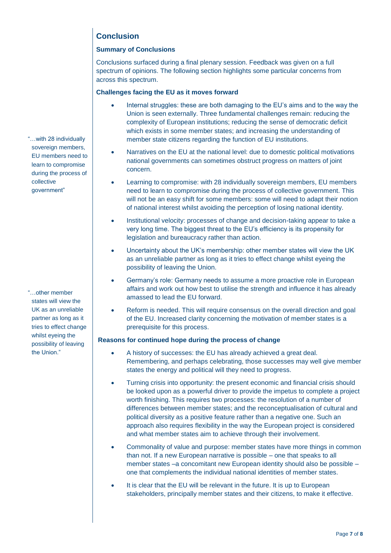## **Conclusion**

### **Summary of Conclusions**

Conclusions surfaced during a final plenary session. Feedback was given on a full spectrum of opinions. The following section highlights some particular concerns from across this spectrum.

#### **Challenges facing the EU as it moves forward**

- Internal struggles: these are both damaging to the EU's aims and to the way the Union is seen externally. Three fundamental challenges remain: reducing the complexity of European institutions; reducing the sense of democratic deficit which exists in some member states; and increasing the understanding of member state citizens regarding the function of EU institutions.
- Narratives on the EU at the national level: due to domestic political motivations national governments can sometimes obstruct progress on matters of joint concern.
	- Learning to compromise: with 28 individually sovereign members, EU members need to learn to compromise during the process of collective government. This will not be an easy shift for some members: some will need to adapt their notion of national interest whilst avoiding the perception of losing national identity.
- Institutional velocity: processes of change and decision-taking appear to take a very long time. The biggest threat to the EU's efficiency is its propensity for legislation and bureaucracy rather than action.
- Uncertainty about the UK's membership: other member states will view the UK as an unreliable partner as long as it tries to effect change whilst eyeing the possibility of leaving the Union.
- Germany's role: Germany needs to assume a more proactive role in European affairs and work out how best to utilise the strength and influence it has already amassed to lead the EU forward.
- Reform is needed. This will require consensus on the overall direction and goal of the EU. Increased clarity concerning the motivation of member states is a prerequisite for this process.

#### **Reasons for continued hope during the process of change**

- A history of successes: the EU has already achieved a great deal. Remembering, and perhaps celebrating, those successes may well give member states the energy and political will they need to progress.
- Turning crisis into opportunity: the present economic and financial crisis should be looked upon as a powerful driver to provide the impetus to complete a project worth finishing. This requires two processes: the resolution of a number of differences between member states; and the reconceptualisation of cultural and political diversity as a positive feature rather than a negative one. Such an approach also requires flexibility in the way the European project is considered and what member states aim to achieve through their involvement.
- Commonality of value and purpose: member states have more things in common than not. If a new European narrative is possible – one that speaks to all member states –a concomitant new European identity should also be possible – one that complements the individual national identities of member states.
- It is clear that the EU will be relevant in the future. It is up to European stakeholders, principally member states and their citizens, to make it effective.

"…with 28 individually sovereign members, EU members need to learn to compromise during the process of collective government"

"…other member states will view the UK as an unreliable partner as long as it tries to effect change whilst eyeing the possibility of leaving the Union."